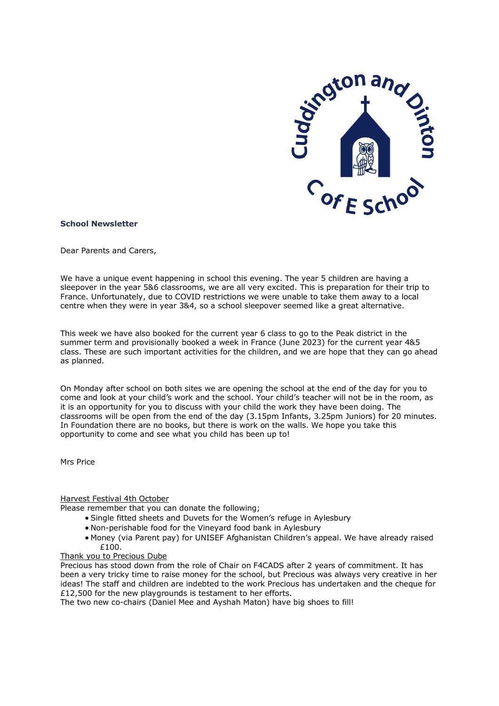

#### **School Newsletter**

Dear Parents and Carers,

We have a unique event happening in school this evening. The year 5 children are having a sleepover in the year 5&6 classrooms, we are all very excited. This is preparation for their trip to France. Unfortunately, due to COVID restrictions we were unable to take them away to a local centre when they were in year 3&4, so a school sleepover seemed like a great alternative.

This week we have also booked for the current year 6 class to go to the Peak district in the summer term and provisionally booked a week in France (June 2023) for the current year 4&5 class. These are such important activities for the children, and we are hope that they can go ahead as planned.

On Monday after school on both sites we are opening the school at the end of the day for you to come and look at your child's work and the school. Your child's teacher will not be in the room, as it is an opportunity for you to discuss with your child the work they have been doing. The classrooms will be open from the end of the day (3.15pm Infants, 3.25pm Juniors) for 20 minutes. In Foundation there are no books, but there is work on the walls. We hope you take this opportunity to come and see what you child has been up to!

Mrs Price

### Harvest Festival 4th October

Please remember that you can donate the following;

- Single fitted sheets and Duvets for the Women's refuge in Aylesbury
- Non-perishable food for the Vineyard food bank in Aylesbury
- Money (via Parent pay) for UNISEF Afghanistan Children's appeal. We have already raised £100.

# Thank you to Precious Dube

Precious has stood down from the role of Chair on F4CADS after 2 years of commitment. It has been a very tricky time to raise money for the school, but Precious was always very creative in her ideas! The staff and children are indebted to the work Precious has undertaken and the cheque for £12,500 for the new playgrounds is testament to her efforts.

The two new co-chairs (Daniel Mee and Ayshah Maton) have big shoes to fill!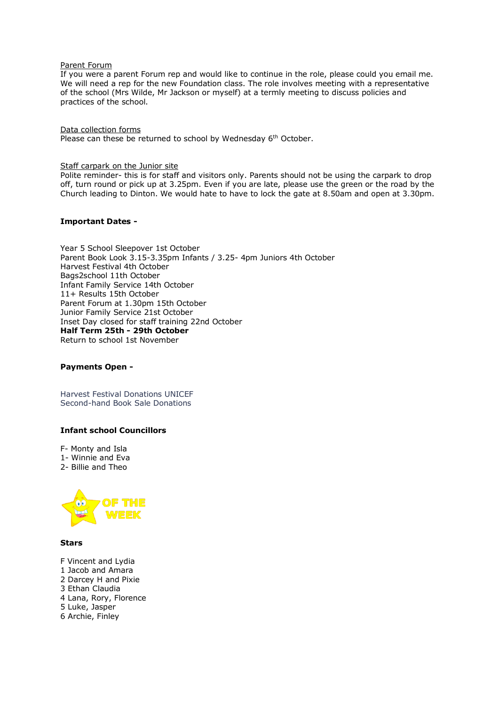#### Parent Forum

If you were a parent Forum rep and would like to continue in the role, please could you email me. We will need a rep for the new Foundation class. The role involves meeting with a representative of the school (Mrs Wilde, Mr Jackson or myself) at a termly meeting to discuss policies and practices of the school.

Data collection forms Please can these be returned to school by Wednesday 6<sup>th</sup> October.

#### Staff carpark on the Junior site

Polite reminder- this is for staff and visitors only. Parents should not be using the carpark to drop off, turn round or pick up at 3.25pm. Even if you are late, please use the green or the road by the Church leading to Dinton. We would hate to have to lock the gate at 8.50am and open at 3.30pm.

# **Important Dates -**

Year 5 School Sleepover 1st October Parent Book Look 3.15-3.35pm Infants / 3.25- 4pm Juniors 4th October Harvest Festival 4th October Bags2school 11th October Infant Family Service 14th October 11+ Results 15th October Parent Forum at 1.30pm 15th October Junior Family Service 21st October Inset Day closed for staff training 22nd October **Half Term 25th - 29th October** Return to school 1st November

# **Payments Open -**

Harvest Festival Donations UNICEF Second-hand Book Sale Donations

# **Infant school Councillors**

F- Monty and Isla

- 1- Winnie and Eva
- 2- Billie and Theo



**Stars**

- F Vincent and Lydia
- 1 Jacob and Amara
- 2 Darcey H and Pixie
- 3 Ethan Claudia
- 4 Lana, Rory, Florence
- 5 Luke, Jasper
- 6 Archie, Finley